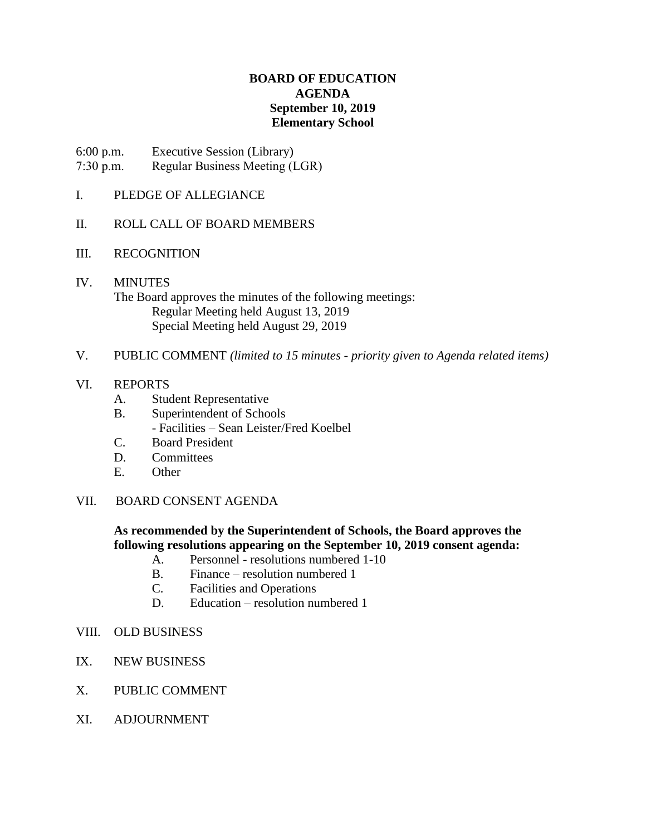# **BOARD OF EDUCATION AGENDA September 10, 2019 Elementary School**

6:00 p.m. Executive Session (Library) 7:30 p.m. Regular Business Meeting (LGR)

## I. PLEDGE OF ALLEGIANCE

## II. ROLL CALL OF BOARD MEMBERS

- III. RECOGNITION
- IV. MINUTES The Board approves the minutes of the following meetings: Regular Meeting held August 13, 2019 Special Meeting held August 29, 2019
- V. PUBLIC COMMENT *(limited to 15 minutes - priority given to Agenda related items)*

# VI. REPORTS

- A. Student Representative
- B. Superintendent of Schools
	- Facilities Sean Leister/Fred Koelbel
- C. Board President
- D. Committees
- E. Other

### VII. BOARD CONSENT AGENDA

# **As recommended by the Superintendent of Schools, the Board approves the following resolutions appearing on the September 10, 2019 consent agenda:**

- A. Personnel resolutions numbered 1-10
- B. Finance resolution numbered 1
- C. Facilities and Operations
- D. Education resolution numbered 1
- VIII. OLD BUSINESS
- IX. NEW BUSINESS
- X. PUBLIC COMMENT
- XI. ADJOURNMENT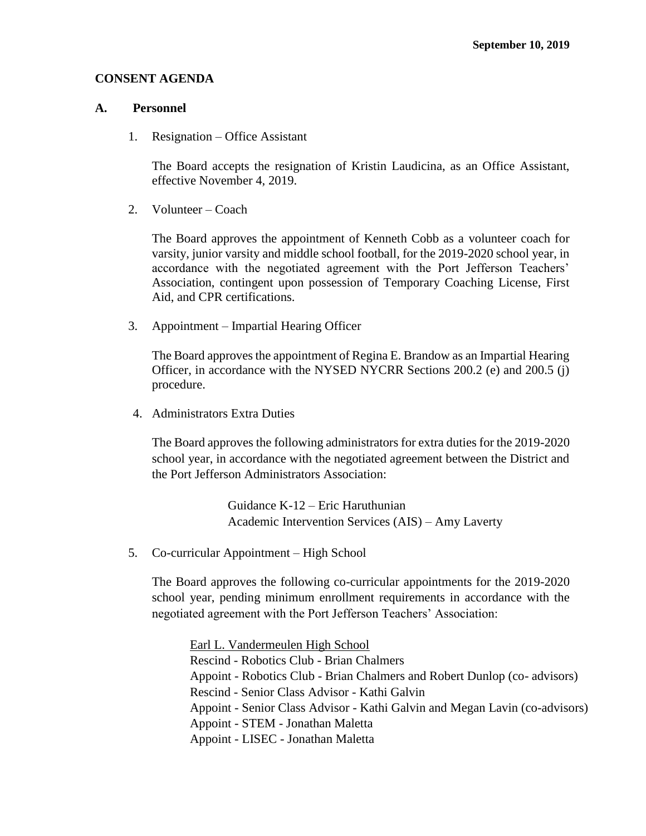#### **CONSENT AGENDA**

#### **A. Personnel**

1. Resignation – Office Assistant

The Board accepts the resignation of Kristin Laudicina, as an Office Assistant, effective November 4, 2019.

2. Volunteer – Coach

The Board approves the appointment of Kenneth Cobb as a volunteer coach for varsity, junior varsity and middle school football, for the 2019-2020 school year, in accordance with the negotiated agreement with the Port Jefferson Teachers' Association, contingent upon possession of Temporary Coaching License, First Aid, and CPR certifications.

3. Appointment – Impartial Hearing Officer

The Board approves the appointment of Regina E. Brandow as an Impartial Hearing Officer, in accordance with the NYSED NYCRR Sections 200.2 (e) and 200.5 (j) procedure.

4. Administrators Extra Duties

The Board approves the following administrators for extra duties for the 2019-2020 school year, in accordance with the negotiated agreement between the District and the Port Jefferson Administrators Association:

> Guidance K-12 – Eric Haruthunian Academic Intervention Services (AIS) – Amy Laverty

5. Co-curricular Appointment – High School

The Board approves the following co-curricular appointments for the 2019-2020 school year, pending minimum enrollment requirements in accordance with the negotiated agreement with the Port Jefferson Teachers' Association:

Earl L. Vandermeulen High School Rescind - Robotics Club - Brian Chalmers Appoint - Robotics Club - Brian Chalmers and Robert Dunlop (co- advisors) Rescind - Senior Class Advisor - Kathi Galvin Appoint - Senior Class Advisor - Kathi Galvin and Megan Lavin (co-advisors) Appoint - STEM - Jonathan Maletta Appoint - LISEC - Jonathan Maletta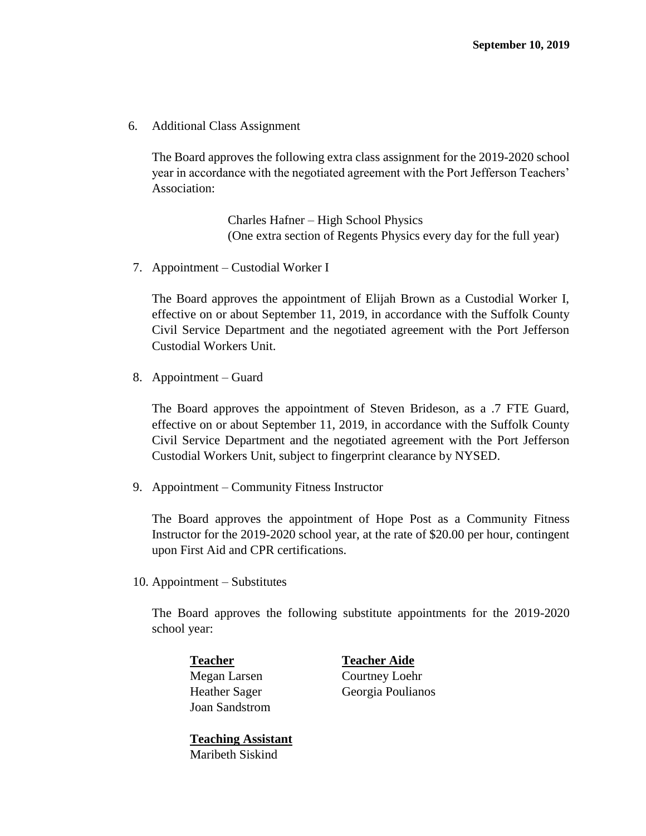6. Additional Class Assignment

The Board approves the following extra class assignment for the 2019-2020 school year in accordance with the negotiated agreement with the Port Jefferson Teachers' Association:

> Charles Hafner – High School Physics (One extra section of Regents Physics every day for the full year)

7. Appointment – Custodial Worker I

The Board approves the appointment of Elijah Brown as a Custodial Worker I, effective on or about September 11, 2019, in accordance with the Suffolk County Civil Service Department and the negotiated agreement with the Port Jefferson Custodial Workers Unit.

8. Appointment – Guard

The Board approves the appointment of Steven Brideson, as a .7 FTE Guard, effective on or about September 11, 2019, in accordance with the Suffolk County Civil Service Department and the negotiated agreement with the Port Jefferson Custodial Workers Unit, subject to fingerprint clearance by NYSED.

9. Appointment – Community Fitness Instructor

The Board approves the appointment of Hope Post as a Community Fitness Instructor for the 2019-2020 school year, at the rate of \$20.00 per hour, contingent upon First Aid and CPR certifications.

10. Appointment – Substitutes

The Board approves the following substitute appointments for the 2019-2020 school year:

**Teacher Teacher Aide** Joan Sandstrom

Megan Larsen Courtney Loehr Heather Sager Georgia Poulianos

**Teaching Assistant** Maribeth Siskind